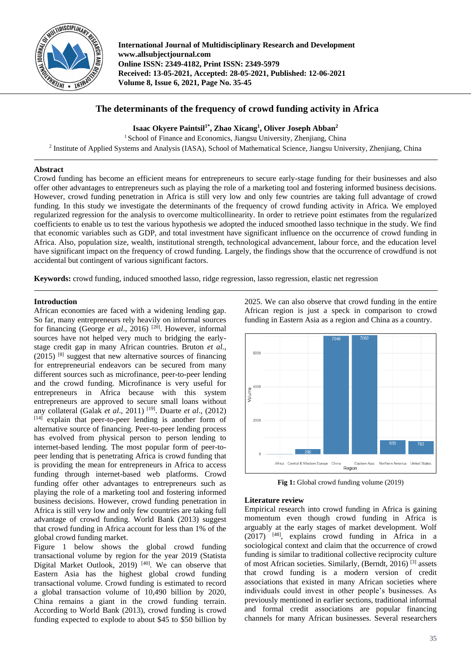

**International Journal of Multidisciplinary Research and Development www.allsubjectjournal.com Online ISSN: 2349-4182, Print ISSN: 2349-5979 Received: 13-05-2021, Accepted: 28-05-2021, Published: 12-06-2021 Volume 8, Issue 6, 2021, Page No. 35-45**

# **The determinants of the frequency of crowd funding activity in Africa**

**Isaac Okyere Paintsil1\*, Zhao Xicang<sup>1</sup> , Oliver Joseph Abban<sup>2</sup>**

 $1$  School of Finance and Economics, Jiangsu University, Zhenjiang, China

<sup>2</sup> Institute of Applied Systems and Analysis (IASA), School of Mathematical Science, Jiangsu University, Zhenjiang, China

# **Abstract**

Crowd funding has become an efficient means for entrepreneurs to secure early-stage funding for their businesses and also offer other advantages to entrepreneurs such as playing the role of a marketing tool and fostering informed business decisions. However, crowd funding penetration in Africa is still very low and only few countries are taking full advantage of crowd funding. In this study we investigate the determinants of the frequency of crowd funding activity in Africa. We employed regularized regression for the analysis to overcome multicollinearity. In order to retrieve point estimates from the regularized coefficients to enable us to test the various hypothesis we adopted the induced smoothed lasso technique in the study. We find that economic variables such as GDP, and total investment have significant influence on the occurrence of crowd funding in Africa. Also, population size, wealth, institutional strength, technological advancement, labour force, and the education level have significant impact on the frequency of crowd funding. Largely, the findings show that the occurrence of crowdfund is not accidental but contingent of various significant factors.

**Keywords:** crowd funding, induced smoothed lasso, ridge regression, lasso regression, elastic net regression

# **Introduction**

African economies are faced with a widening lending gap. So far, many entrepreneurs rely heavily on informal sources for financing (George *et al*., 2016) [20]. However, informal sources have not helped very much to bridging the earlystage credit gap in many African countries. Bruton *et al.*,  $(2015)$ <sup>[8]</sup> suggest that new alternative sources of financing for entrepreneurial endeavors can be secured from many different sources such as microfinance, peer-to-peer lending and the crowd funding. Microfinance is very useful for entrepreneurs in Africa because with this system entrepreneurs are approved to secure small loans without any collateral (Galak *et al*., 2011) [19]. Duarte *et al*., (2012) [14] explain that peer-to-peer lending is another form of alternative source of financing. Peer-to-peer lending process has evolved from physical person to person lending to internet-based lending. The most popular form of peer-topeer lending that is penetrating Africa is crowd funding that is providing the mean for entrepreneurs in Africa to access funding through internet-based web platforms. Crowd funding offer other advantages to entrepreneurs such as playing the role of a marketing tool and fostering informed business decisions. However, crowd funding penetration in Africa is still very low and only few countries are taking full advantage of crowd funding. World Bank (2013) suggest that crowd funding in Africa account for less than 1% of the global crowd funding market.

Figure 1 below shows the global crowd funding transactional volume by region for the year 2019 (Statista Digital Market Outlook, 2019)<sup>[40]</sup>. We can observe that Eastern Asia has the highest global crowd funding transactional volume. Crowd funding is estimated to record a global transaction volume of 10,490 billion by 2020, China remains a giant in the crowd funding terrain. According to World Bank (2013), crowd funding is crowd funding expected to explode to about \$45 to \$50 billion by

2025. We can also observe that crowd funding in the entire African region is just a speck in comparison to crowd funding in Eastern Asia as a region and China as a country.



Fig 1: Global crowd funding volume (2019)

# **Literature review**

Empirical research into crowd funding in Africa is gaining momentum even though crowd funding in Africa is arguably at the early stages of market development. Wolf  $(2017)$ <sup>[48]</sup>, explains crowd funding in Africa in a sociological context and claim that the occurrence of crowd funding is similar to traditional collective reciprocity culture of most African societies. Similarly, (Berndt, 2016) [3] assets that crowd funding is a modern version of credit associations that existed in many African societies where individuals could invest in other people's businesses. As previously mentioned in earlier sections, traditional informal and formal credit associations are popular financing channels for many African businesses. Several researchers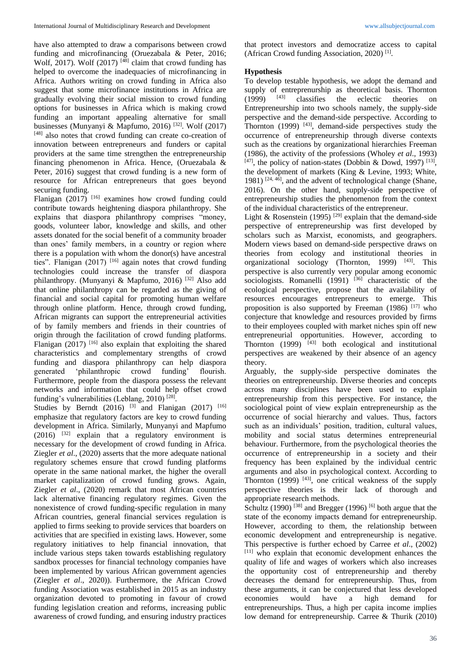have also attempted to draw a comparisons between crowd funding and microfinancing (Oruezabala & Peter, 2016; Wolf, 2017). Wolf (2017)  $[48]$  claim that crowd funding has helped to overcome the inadequacies of microfinancing in Africa. Authors writing on crowd funding in Africa also suggest that some microfinance institutions in Africa are gradually evolving their social mission to crowd funding options for businesses in Africa which is making crowd funding an important appealing alternative for small businesses (Munyanyi & Mapfumo, 2016)  $^{[32]}$ . Wolf (2017) [48] also notes that crowd funding can create co-creation of innovation between entrepreneurs and funders or capital providers at the same time strengthen the entrepreneurship financing phenomenon in Africa. Hence, (Oruezabala & Peter, 2016) suggest that crowd funding is a new form of resource for African entrepreneurs that goes beyond securing funding.

Flanigan  $(2017)$ <sup>[16]</sup> examines how crowd funding could contribute towards heightening diaspora philanthropy. She explains that diaspora philanthropy comprises "money, goods, volunteer labor, knowledge and skills, and other assets donated for the social benefit of a community broader than ones' family members, in a country or region where there is a population with whom the donor(s) have ancestral ties". Flanigan (2017) [16] again notes that crowd funding technologies could increase the transfer of diaspora philanthropy. (Munyanyi & Mapfumo, 2016) [32] Also add that online philanthropy can be regarded as the giving of financial and social capital for promoting human welfare through online platform. Hence, through crowd funding, African migrants can support the entrepreneurial activities of by family members and friends in their countries of origin through the facilitation of crowd funding platforms. Flanigan (2017)  $[16]$  also explain that exploiting the shared characteristics and complementary strengths of crowd funding and diaspora philanthropy can help diaspora generated 'philanthropic crowd funding' flourish. Furthermore, people from the diaspora possess the relevant networks and information that could help offset crowd funding's vulnerabilities (Leblang, 2010)<sup>[28]</sup>.

Studies by Berndt (2016) <sup>[3]</sup> and Flanigan (2017) <sup>[16]</sup> emphasize that regulatory factors are key to crowd funding development in Africa. Similarly, Munyanyi and Mapfumo  $(2016)$  <sup>[32]</sup> explain that a regulatory environment is necessary for the development of crowd funding in Africa. Ziegler *et al*., (2020) asserts that the more adequate national regulatory schemes ensure that crowd funding platforms operate in the same national market, the higher the overall market capitalization of crowd funding grows. Again, Ziegler *et al*., (2020) remark that most African countries lack alternative financing regulatory regimes. Given the nonexistence of crowd funding-specific regulation in many African countries, general financial services regulation is applied to firms seeking to provide services that boarders on activities that are specified in existing laws. However, some regulatory initiatives to help financial innovation, that include various steps taken towards establishing regulatory sandbox processes for financial technology companies have been implemented by various African government agencies (Ziegler *et al*., 2020)). Furthermore, the African Crowd funding Association was established in 2015 as an industry organization devoted to promoting in favour of crowd funding legislation creation and reforms, increasing public awareness of crowd funding, and ensuring industry practices that protect investors and democratize access to capital (African Crowd funding Association, 2020) [1] .

# **Hypothesis**

To develop testable hypothesis, we adopt the demand and supply of entreprenurship as theoretical basis. Thornton (1999) [43] classifies the eclectic theories on Entrepreneurship into two schools namely, the supply-side perspective and the demand-side perspective. According to Thornton  $(1999)$  <sup>[43]</sup>, demand-side perspectives study the occurrence of entrepreneurship through diverse contexts such as the creations by organizational hierarchies Freeman (1986), the activity of the professions (Wholey *et al*., 1993)  $[47]$ , the policy of nation-states (Dobbin & Dowd, 1997)  $[13]$ , the development of markets (King & Levine, 1993; White, 1981)  $[24, 46]$ , and the advent of technological change (Shane, 2016). On the other hand, supply-side perspective of entrepreneurship studies the phenomenon from the context of the individual characteristics of the entrepreneur.

Light & Rosenstein (1995)<sup>[29]</sup> explain that the demand-side perspective of entrepreneurship was first developed by scholars such as Marxist, economists, and geographers. Modern views based on demand-side perspective draws on theories from ecology and institutional theories in organizational sociology (Thornton, 1999) <sup>[43]</sup>. This perspective is also currently very popular among economic sociologists. Romanelli  $(1991)$   $^{[36]}$  characteristic of the ecological perspective, propose that the availability of resources encourages entrepreneurs to emerge. This proposition is also supported by Freeman  $(1986)$ <sup>[17]</sup> who conjecture that knowledge and resources provided by firms to their employees coupled with market niches spin off new entrepreneurial opportunities. However, according to Thornton  $(1999)$   $[43]$  both ecological and institutional perspectives are weakened by their absence of an agency theory.

Arguably, the supply-side perspective dominates the theories on entrepreneurship. Diverse theories and concepts across many disciplines have been used to explain entrepreneurship from this perspective. For instance, the sociological point of view explain entrepreneurship as the occurrence of social hierarchy and values. Thus, factors such as an individuals' position, tradition, cultural values, mobility and social status determines entrepreneurial behaviour. Furthermore, from the psychological theories the occurrence of entrepreneurship in a society and their frequency has been explained by the individual centric arguments and also in psychological context. According to Thornton  $(1999)$  <sup>[43]</sup>, one critical weakness of the supply perspective theories is their lack of thorough and appropriate research methods.

Schultz (1990)<sup>[38]</sup> and Bregger (1996)<sup>[6]</sup> both argue that the state of the economy impacts demand for entrepreneurship. However, according to them, the relationship between economic development and entrepreneurship is negative. This perspective is further echoed by Carree *et al*., (2002) [11] who explain that economic development enhances the quality of life and wages of workers which also increases the opportunity cost of entrepreneurship and thereby decreases the demand for entrepreneurship. Thus, from these arguments, it can be conjectured that less developed economies would have a high demand for entrepreneurships. Thus, a high per capita income implies low demand for entrepreneurship. Carree & Thurik (2010)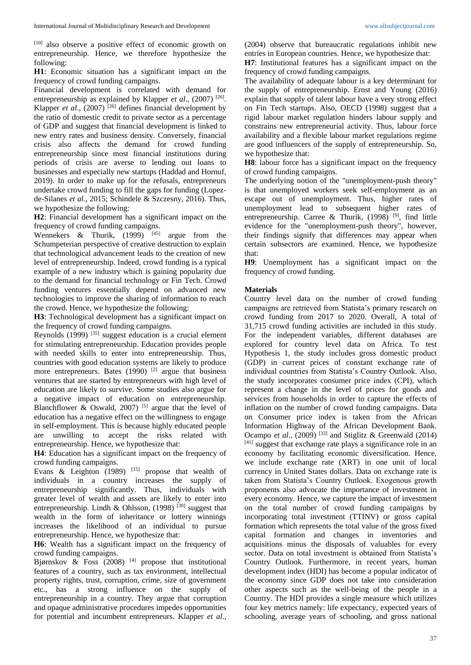[10] also observe a positive effect of economic growth on entrepreneurship. Hence, we therefore hypothesize the following:

**H1**: Economic situation has a significant impact on the frequency of crowd funding campaigns.

Financial development is correlated with demand for entrepreneurship as explained by Klapper *et al.*, (2007)<sup>[26]</sup>. Klapper *et al.*,  $(2007)$ <sup>[26]</sup> defines financial development by the ratio of domestic credit to private sector as a percentage of GDP and suggest that financial development is linked to new entry rates and business density. Conversely, financial crisis also affects the demand for crowd funding entrepreneurship since most financial institutions during periods of crisis are averse to lending out loans to businesses and especially new startups (Haddad and Hornuf, 2019). In order to make up for the refusals, entrepreneurs undertake crowd funding to fill the gaps for funding (Lopezde-Silanes *et al*., 2015; Schindele & Szczesny, 2016). Thus, we hypothesize the following:

**H2**: Financial development has a significant impact on the frequency of crowd funding campaigns.

Wennekers & Thurik,  $(1999)$  <sup>[45]</sup> argue from the Schumpeterian perspective of creative destruction to explain that technological advancement leads to the creation of new level of entrepreneurship. Indeed, crowd funding is a typical example of a new industry which is gaining popularity due to the demand for financial technology or Fin Tech. Crowd funding ventures essentially depend on advanced new technologies to improve the sharing of information to reach the crowd. Hence, we hypothesize the following:

**H3**: Technological development has a significant impact on the frequency of crowd funding campaigns.

Reynolds  $(1999)$ <sup>[35]</sup> suggest education is a crucial element for stimulating entrepreneurship. Education provides people with needed skills to enter into entrepreneurship. Thus, countries with good education systems are likely to produce more entrepreneurs. Bates  $(1990)$  <sup>[2]</sup> argue that business ventures that are started by entrepreneurs with high level of education are likely to survive. Some studies also argue for a negative impact of education on entrepreneurship. Blanchflower & Oswald,  $2007$ <sup>[5]</sup> argue that the level of education has a negative effect on the willingness to engage in self-employment. This is because highly educated people are unwilling to accept the risks related with entrepreneurship. Hence, we hypothesize that:

**H4**: Education has a significant impact on the frequency of crowd funding campaigns.

Evans & Leighton  $(1989)$  <sup>[15]</sup> propose that wealth of individuals in a country increases the supply of entrepreneurship significantly. Thus, individuals with greater level of wealth and assets are likely to enter into entrepreneurship. Lindh & Ohlsson,  $(1998)$   $^{[30]}$  suggest that wealth in the form of inheritance or lottery winnings increases the likelihood of an individual to pursue entrepreneurship. Hence, we hypothesize that:

**H6**: Wealth has a significant impact on the frequency of crowd funding campaigns.

Bjørnskov  $\&$  Foss (2008)<sup>[4]</sup> propose that institutional features of a country, such as tax environment, intellectual property rights, trust, corruption, crime, size of government etc., has a strong influence on the supply of entrepreneurship in a country. They argue that corruption and opaque administrative procedures impedes opportunities for potential and incumbent entrepreneurs. Klapper *et al*.,

(2004) observe that bureaucratic regulations inhibit new entries in European countries. Hence, we hypothesize that: **H7**: Institutional features has a significant impact on the frequency of crowd funding campaigns.

The availability of adequate labour is a key determinant for the supply of entrepreneurship. Ernst and Young (2016) explain that supply of talent labour have a very strong effect on Fin Tech startups. Also, OECD (1998) suggest that a rigid labour market regulation hinders labour supply and constrains new entrepreneurial activity. Thus, labour force availability and a flexible labour market regulations regime are good influencers of the supply of entrepreneurship. So, we hypothesize that:

**H8**: labour force has a significant impact on the frequency of crowd funding campaigns.

The underlying notion of the "unemployment-push theory" is that unemployed workers seek self-employment as an escape out of unemployment. Thus, higher rates of unemployment lead to subsequent higher rates of entrepreneurship. Carree & Thurik,  $(1998)$ <sup>[9]</sup>, find little evidence for the "unemployment-push theory", however, their findings signify that differences may appear when certain subsectors are examined. Hence, we hypothesize that:

**H9**: Unemployment has a significant impact on the frequency of crowd funding.

### **Materials**

Country level data on the number of crowd funding campaigns are retrieved from Statista's primary research on crowd funding from 2017 to 2020. Overall, A total of 31,715 crowd funding activities are included in this study. For the independent variables, different databases are explored for country level data on Africa. To test Hypothesis 1, the study includes gross domestic product (GDP) in current prices of constant exchange rate of individual countries from Statista's Country Outlook. Also, the study incorporates consumer price index (CPI), which represent a change in the level of prices for goods and services from households in order to capture the effects of inflation on the number of crowd funding campaigns. Data on Consumer price index is taken from the African Information Highway of the African Development Bank. Ocampo *et al.*, (2009)<sup>[33]</sup> and Stiglitz & Greenwald (2014)  $[41]$  suggest that exchange rate plays a significance role in an economy by facilitating economic diversification. Hence, we include exchange rate (XRT) in one unit of local currency in United States dollars. Data on exchange rate is taken from Statista's Country Outlook. Exogenous growth proponents also advocate the importance of investment in every economy. Hence, we capture the impact of investment on the total number of crowd funding campaigns by incorporating total investment (TTINV) or gross capital formation which represents the total value of the gross fixed capital formation and changes in inventories and acquisitions minus the disposals of valuables for every sector. Data on total investment is obtained from Statista's Country Outlook. Furthermore, in recent years, human development index (HDI) has become a popular indicator of the economy since GDP does not take into consideration other aspects such as the well-being of the people in a Country. The HDI provides a single measure which utilizes four key metrics namely: life expectancy, expected years of schooling, average years of schooling, and gross national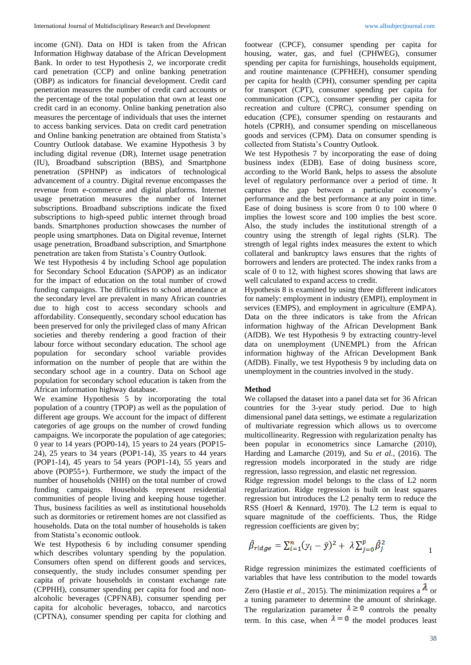income (GNI). Data on HDI is taken from the African Information Highway database of the African Development Bank. In order to test Hypothesis 2, we incorporate credit card penetration (CCP) and online banking penetration (OBP) as indicators for financial development. Credit card penetration measures the number of credit card accounts or the percentage of the total population that own at least one credit card in an economy. Online banking penetration also measures the percentage of individuals that uses the internet to access banking services. Data on credit card penetration and Online banking penetration are obtained from Statista's Country Outlook database. We examine Hypothesis 3 by including digital revenue (DR), Internet usage penetration (IU), Broadband subscription (BBS), and Smartphone penetration (SPHNP) as indicators of technological advancement of a country. Digital revenue encompasses the revenue from e-commerce and digital platforms. Internet usage penetration measures the number of Internet subscriptions. Broadband subscriptions indicate the fixed subscriptions to high-speed public internet through broad bands. Smartphones production showcases the number of people using smartphones. Data on Digital revenue, Internet usage penetration, Broadband subscription, and Smartphone penetration are taken from Statista's Country Outlook.

We test Hypothesis 4 by including School age population for Secondary School Education (SAPOP) as an indicator for the impact of education on the total number of crowd funding campaigns. The difficulties to school attendance at the secondary level are prevalent in many African countries due to high cost to access secondary schools and affordability. Consequently, secondary school education has been preserved for only the privileged class of many African societies and thereby rendering a good fraction of their labour force without secondary education. The school age population for secondary school variable provides information on the number of people that are within the secondary school age in a country. Data on School age population for secondary school education is taken from the African information highway database.

We examine Hypothesis 5 by incorporating the total population of a country (TPOP) as well as the population of different age groups. We account for the impact of different categories of age groups on the number of crowd funding campaigns. We incorporate the population of age categories; 0 year to 14 years (POP0-14), 15 years to 24 years (POP15- 24), 25 years to 34 years (POP1-14), 35 years to 44 years (POP1-14), 45 years to 54 years (POP1-14), 55 years and above (POP55+). Furthermore, we study the impact of the number of households (NHH) on the total number of crowd funding campaigns. Households represent residential communities of people living and keeping house together. Thus, business facilities as well as institutional households such as dormitories or retirement homes are not classified as households. Data on the total number of households is taken from Statista's economic outlook.

We test Hypothesis 6 by including consumer spending which describes voluntary spending by the population. Consumers often spend on different goods and services, consequently, the study includes consumer spending per capita of private households in constant exchange rate (CPPHH), consumer spending per capita for food and nonalcoholic beverages (CPFNAB), consumer spending per capita for alcoholic beverages, tobacco, and narcotics (CPTNA), consumer spending per capita for clothing and

footwear (CPCF), consumer spending per capita for housing, water, gas, and fuel (CPHWEG), consumer spending per capita for furnishings, households equipment, and routine maintenance (CPFHEH), consumer spending per capita for health (CPH), consumer spending per capita for transport (CPT), consumer spending per capita for communication (CPC), consumer spending per capita for recreation and culture (CPRC), consumer spending on education (CPE), consumer spending on restaurants and hotels (CPRH), and consumer spending on miscellaneous goods and services (CPM). Data on consumer spending is collected from Statista's Country Outlook.

We test Hypothesis 7 by incorporating the ease of doing business index (EDB). Ease of doing business score, according to the World Bank, helps to assess the absolute level of regulatory performance over a period of time. It captures the gap between a particular economy's performance and the best performance at any point in time. Ease of doing business is score from 0 to 100 where 0 implies the lowest score and 100 implies the best score. Also, the study includes the institutional strength of a country using the strength of legal rights (SLR). The strength of legal rights index measures the extent to which collateral and bankruptcy laws ensures that the rights of borrowers and lenders are protected. The index ranks from a scale of 0 to 12, with highest scores showing that laws are well calculated to expand access to credit.

Hypothesis 8 is examined by using three different indicators for namely: employment in industry (EMPI), employment in services (EMPS), and employment in agriculture (EMPA). Data on the three indicators is take from the African information highway of the African Development Bank (AfDB). We test Hypothesis 9 by extracting country-level data on unemployment (UNEMPL) from the African information highway of the African Development Bank (AfDB). Finally, we test Hypothesis 9 by including data on unemployment in the countries involved in the study.

### **Method**

We collapsed the dataset into a panel data set for 36 African countries for the 3-year study period. Due to high dimensional panel data settings, we estimate a regularization of multivariate regression which allows us to overcome multicollinearity. Regression with regularization penalty has been popular in econometrics since Lamarche (2010), Harding and Lamarche (2019), and Su *et al.*, (2016). The regression models incorporated in the study are ridge regression, lasso regression, and elastic net regression.

Ridge regression model belongs to the class of L2 norm regularization. Ridge regression is built on least squares regression but introduces the L2 penalty term to reduce the RSS (Hoerl & Kennard, 1970). The L2 term is equal to square magnitude of the coefficients. Thus, the Ridge regression coefficients are given by;

$$
\hat{\beta}_{ridge} = \sum_{i=1}^{n} (y_i - \hat{y})^2 + \lambda \sum_{j=0}^{p} \hat{\beta}_j^2
$$

Ridge regression minimizes the estimated coefficients of variables that have less contribution to the model towards Zero (Hastie *et al.*, 2015). The minimization requires a  $\lambda$  or a tuning parameter to determine the amount of shrinkage. The regularization parameter  $\lambda \geq 0$  controls the penalty term. In this case, when  $\lambda = 0$  the model produces least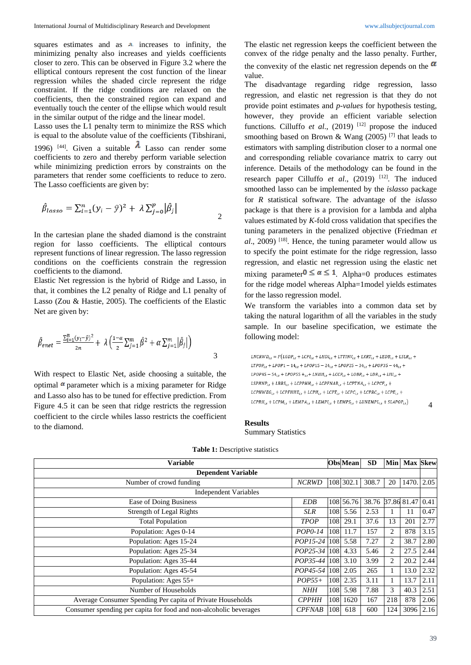squares estimates and as  $\lambda$  increases to infinity, the minimizing penalty also increases and yields coefficients closer to zero. This can be observed in Figure 3.2 where the elliptical contours represent the cost function of the linear regression whiles the shaded circle represent the ridge constraint. If the ridge conditions are relaxed on the coefficients, then the constrained region can expand and eventually touch the center of the ellipse which would result in the similar output of the ridge and the linear model.

Lasso uses the L1 penalty term to minimize the RSS which is equal to the absolute value of the coefficients (Tibshirani, 1996) <sup>[44]</sup>. Given a suitable  $\lambda$  Lasso can render some coefficients to zero and thereby perform variable selection while minimizing prediction errors by constraints on the parameters that render some coefficients to reduce to zero. The Lasso coefficients are given by:

$$
\hat{\beta}_{lasso} = \sum_{i=1}^{n} (y_i - \hat{y})^2 + \lambda \sum_{j=0}^{p} |\hat{\beta}_j|
$$

In the cartesian plane the shaded diamond is the constraint region for lasso coefficients. The elliptical contours represent functions of linear regression. The lasso regression conditions on the coefficients constrain the regression coefficients to the diamond.

Elastic Net regression is the hybrid of Ridge and Lasso, in that, it combines the L2 penalty of Ridge and L1 penalty of Lasso (Zou & Hastie, 2005). The coefficients of the Elastic Net are given by:

$$
\hat{\beta}_{enet} = \frac{\sum_{i=1}^{n} (y_i - \hat{y})^2}{2n} + \lambda \left( \frac{1 - \alpha}{2} \sum_{j=1}^{m} \hat{\beta}^2 + \alpha \sum_{j=1}^{m} |\hat{\beta}_j| \right)
$$

With respect to Elastic Net, aside choosing a suitable, the optimal  $\alpha$  parameter which is a mixing parameter for Ridge and Lasso also has to be tuned for effective prediction. From Figure 4.5 it can be seen that ridge restricts the regression coefficient to the circle whiles lasso restricts the coefficient to the diamond.

The elastic net regression keeps the coefficient between the convex of the ridge penalty and the lasso penalty. Further,

the convexity of the elastic net regression depends on the  $\alpha$ value.

The disadvantage regarding ridge regression, lasso regression, and elastic net regression is that they do not provide point estimates and *p-values* for hypothesis testing, however, they provide an efficient variable selection functions. Cilluffo *et al.*, (2019)<sup>[12]</sup> propose the induced smoothing based on Brown & Wang (2005)<sup>[7]</sup> that leads to estimators with sampling distribution closer to a normal one and corresponding reliable covariance matrix to carry out inference. Details of the methodology can be found in the research paper Cilluffo et al., (2019) <sup>[12]</sup>. The induced smoothed lasso can be implemented by the *islasso* package for *R* statistical software. The advantage of the *islasso*  package is that there is a provision for a lambda and alpha values estimated by *K*-fold cross validation that specifies the tuning parameters in the penalized objective (Friedman *et al*., 2009) [18]. Hence, the tuning parameter would allow us to specify the point estimate for the ridge regression, lasso regression, and elastic net regression using the elastic net mixing parameter  $0 \le \alpha \le 1$ . Alpha=0 produces estimates for the ridge model whereas Alpha=1model yields estimates for the lasso regression model.

We transform the variables into a common data set by taking the natural logarithm of all the variables in the study sample. In our baseline specification, we estimate the following model:

```
\label{eq:LNCRWD} LNCRWD_{i,t} = F\left(LGDP_{i,t} + LCPI_{i,t} + LHDI_{i,t} + LTTINV_{i,t} + LXRT_{i,t} + LEDB_{i,t} + LSLR_{i,t} + LSLR_{i,t} + LSLR_{i,t} + LSLR_{i,t} + LSLR_{i,t} + LSLR_{i,t} + LSLR_{i,t} + LSLR_{i,t} + LSLR_{i,t} + LSLR_{i,t} + LSLR_{i,t} + LSLR_{i,t} + LSLR_{i,t} + LSLR_{i,t} + LSLR_{i,t} + LSLR_{i,t} + LSLR_{i,t} + LSLR_{i,t} + LSLR_{i,t}LTPOP_{i,t} + LPOP1 - 14_{i,t} + LPOP15 - 24_{i,t} + LPOP25 - 34_{i,t} + LPOP35 - 44_{i,t} +LPOP45 - 54_{i,t} + LPOP55 +_{i,t} + LNHH_{i,t} + LCCP_{i,t} + LOBP_{i,t} + LDR_{i,t} + LIU_{i,t} +LSPHNP_{i,t} + LBBS_{i,t} + LCPPHH_{i,t} + LCPFNAB_{i,t} + LCPTNA_{i,t} + LCPCF_{i,t} +LCPHWEG_{i,t} + LCPFHHE_{i,t} + LCPH_{i,t} + LCPT_{i,t} + LCPC_{i,t} + LCPRC_{i,t} + LCPE_{i,t} +LCPRH_{i,t} + LCPM_{i,t} + LEMPA_{i,t} + LEMPI_{i,t} + LEMPS_{i,t} + LUNEMPL_{i,t} + SLAPOP_{i,t})
```
### **Results** Summary Statistics

| <b>Variable</b>                                                   |               |            | <b>Obs</b> Mean | <b>SD</b>              | Min            | <b>Max Skew</b> |      |
|-------------------------------------------------------------------|---------------|------------|-----------------|------------------------|----------------|-----------------|------|
| <b>Dependent Variable</b>                                         |               |            |                 |                        |                |                 |      |
| Number of crowd funding                                           | <b>NCRWD</b>  |            | 108 302.1       | 308.7                  | 20             | 1470.           | 2.05 |
| <b>Independent Variables</b>                                      |               |            |                 |                        |                |                 |      |
| Ease of Doing Business                                            | <b>EDB</b>    |            | 108 56.76       | 38.76 37.86 81.47 0.41 |                |                 |      |
| Strength of Legal Rights                                          | <b>SLR</b>    | <b>108</b> | 5.56            | 2.53                   |                | 11              | 0.47 |
| <b>Total Population</b>                                           | <b>TPOP</b>   | 108        | 29.1            | 37.6                   | 13             | 201             | 2.77 |
| Population: Ages 0-14                                             | POP0-14       | 108        | 11.7            | 157                    | $\overline{c}$ | 878             | 3.15 |
| Population: Ages 15-24                                            | $POP15-24$    | 108        | 5.58            | 7.27                   | $\overline{2}$ | 38.7            | 2.80 |
| Population: Ages 25-34                                            | $POP25-34$    | 108        | 4.33            | 5.46                   | 2              | 27.5            | 2.44 |
| Population: Ages 35-44                                            | POP35-44      |            | 108 3.10        | 3.99                   | 2              | 20.2            | 2.44 |
| Population: Ages 45-54                                            | POP45-54 108  |            | 2.05            | 265                    |                | 13.0            | 2.32 |
| Population: Ages 55+                                              | $POP55+$      | 108        | 2.35            | 3.11                   |                | 13.7            | 2.11 |
| Number of Households                                              | <b>NHH</b>    | 108        | 5.98            | 7.88                   | 3              | 40.3            | 2.51 |
| Average Consumer Spending Per capita of Private Households        | <b>СРРНН</b>  | 108        | 1620            | 167                    | 218            | 878             | 2.06 |
| Consumer spending per capita for food and non-alcoholic beverages | <b>CPFNAB</b> | 108        | 618             | 600                    | 124            | 3096            | 2.16 |

**Table 1:** Descriptive statistics

4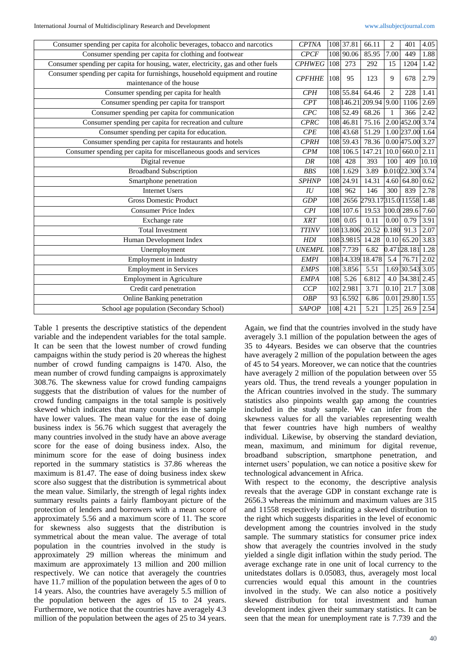| Consumer spending per capita for alcoholic beverages, tobacco and narcotics       | <b>CPTNA</b>      |            | 108 37.81  | 66.11                            | 2                | 401                | 4.05  |
|-----------------------------------------------------------------------------------|-------------------|------------|------------|----------------------------------|------------------|--------------------|-------|
| Consumer spending per capita for clothing and footwear                            | CPCF              |            | 108 90.06  | 85.95                            | 7.00             | 449                | 1.88  |
| Consumer spending per capita for housing, water, electricity, gas and other fuels | $\mathit{CPHWEG}$ | 108        | 273        | 292                              | 15               | 1204               | 1.42  |
| Consumer spending per capita for furnishings, household equipment and routine     | <b>CPFHHE</b>     | 108        | 95         | 123                              | 9                | 678                | 2.79  |
| maintenance of the house                                                          |                   |            |            |                                  |                  |                    |       |
| Consumer spending per capita for health                                           | CPH               |            | 108 55.84  | 64.46                            | $\overline{2}$   | 228                | 1.41  |
| Consumer spending per capita for transport                                        | CPT               |            |            | 108 146.21 209.94 9.00           |                  | 1106               | 2.69  |
| Consumer spending per capita for communication                                    | CPC               |            | 108 52.49  | 68.26                            | $\mathbf{1}$     | 366                | 2.42  |
| Consumer spending per capita for recreation and culture                           | <b>CPRC</b>       |            | 108 46.81  | 75.16                            |                  | 2.00 452.00 3.74   |       |
| Consumer spending per capita for education.                                       | CPE               |            | 108 43.68  | 51.29                            |                  | 1.00 237.00 1.64   |       |
| Consumer spending per capita for restaurants and hotels                           | <b>CPRH</b>       |            | 108 59.43  | 78.36                            |                  | $0.00$ 475.00 3.27 |       |
| Consumer spending per capita for miscellaneous goods and services                 | CPM               |            | 108 106.5  | 147.21                           |                  | $10.0$ 660.0       | 2.11  |
| Digital revenue                                                                   | DR                | 108        | 428        | 393                              | 100              | 409                | 10.10 |
| <b>Broadband Subscription</b>                                                     | <b>BBS</b>        |            | 108 1.629  | 3.89                             |                  | 0.01022.300 3.74   |       |
| Smartphone penetration                                                            | <b>SPHNP</b>      |            | 108 24.91  | 14.31                            |                  | 4.60 64.80         | 0.62  |
| <b>Internet Users</b>                                                             | $I\bar{U}$        | 108        | 962        | 146                              | 300              | 839                | 2.78  |
| <b>Gross Domestic Product</b>                                                     | GDP               |            |            | 108 2656 2793.17315.0 11558 1.48 |                  |                    |       |
| <b>Consumer Price Index</b>                                                       | CPI               |            | 108 107.6  | 19.53                            |                  | 100.0 289.6        | 7.60  |
| Exchange rate                                                                     | <b>XRT</b>        | 108        | 0.05       | 0.11                             | 0.00             | 0.79               | 3.91  |
| <b>Total Investment</b>                                                           | <b>TTINV</b>      |            | 108 13.806 | 20.52                            | 0.180            | 91.3               | 2.07  |
| Human Development Index                                                           | <b>HDI</b>        |            | 1083.9815  | 14.28                            |                  | $0.10$ 65.20       | 3.83  |
| Unemployment                                                                      | <b>UNEMPL</b>     |            | 108 7.739  | 6.82                             |                  | 0.47128.181 1.28   |       |
| <b>Employment</b> in Industry                                                     | <b>EMPI</b>       |            |            | 108 14.339 18.478                | $\overline{5.4}$ | 76.71              | 2.02  |
| <b>Employment in Services</b>                                                     | <b>EMPS</b>       |            | 108 3.856  | 5.51                             |                  | 1.69 30.543 3.05   |       |
| <b>Employment in Agriculture</b>                                                  | <b>EMPA</b>       | 108        | 5.26       | 6.812                            | 4.0              | 34.381 2.45        |       |
| Credit card penetration                                                           | CCP               |            | 102 2.981  | 3.71                             | 0.10             | 21.7               | 3.08  |
| Online Banking penetration                                                        | <b>OBP</b>        |            | 93 6.592   | 6.86                             |                  | $0.01$ 29.80       | 1.55  |
| School age population (Secondary School)                                          | <b>SAPOP</b>      | <b>108</b> | 4.21       | 5.21                             | 1.25             | 26.9               | 2.54  |
|                                                                                   |                   |            |            |                                  |                  |                    |       |

Table 1 presents the descriptive statistics of the dependent variable and the independent variables for the total sample. It can be seen that the lowest number of crowd funding campaigns within the study period is 20 whereas the highest number of crowd funding campaigns is 1470. Also, the mean number of crowd funding campaigns is approximately 308.76. The skewness value for crowd funding campaigns suggests that the distribution of values for the number of crowd funding campaigns in the total sample is positively skewed which indicates that many countries in the sample have lower values. The mean value for the ease of doing business index is 56.76 which suggest that averagely the many countries involved in the study have an above average score for the ease of doing business index. Also, the minimum score for the ease of doing business index reported in the summary statistics is 37.86 whereas the maximum is 81.47. The ease of doing business index skew score also suggest that the distribution is symmetrical about the mean value. Similarly, the strength of legal rights index summary results paints a fairly flamboyant picture of the protection of lenders and borrowers with a mean score of approximately 5.56 and a maximum score of 11. The score for skewness also suggests that the distribution is symmetrical about the mean value. The average of total population in the countries involved in the study is approximately 29 million whereas the minimum and maximum are approximately 13 million and 200 million respectively. We can notice that averagely the countries have 11.7 million of the population between the ages of 0 to 14 years. Also, the countries have averagely 5.5 million of the population between the ages of 15 to 24 years. Furthermore, we notice that the countries have averagely 4.3 million of the population between the ages of 25 to 34 years.

Again, we find that the countries involved in the study have averagely 3.1 million of the population between the ages of 35 to 44years. Besides we can observe that the countries have averagely 2 million of the population between the ages of 45 to 54 years. Moreover, we can notice that the countries have averagely 2 million of the population between over 55 years old. Thus, the trend reveals a younger population in the African countries involved in the study. The summary statistics also pinpoints wealth gap among the countries included in the study sample. We can infer from the skewness values for all the variables representing wealth that fewer countries have high numbers of wealthy individual. Likewise, by observing the standard deviation, mean, maximum, and minimum for digital revenue, broadband subscription, smartphone penetration, and internet users' population, we can notice a positive skew for technological advancement in Africa.

With respect to the economy, the descriptive analysis reveals that the average GDP in constant exchange rate is 2656.3 whereas the minimum and maximum values are 315 and 11558 respectively indicating a skewed distribution to the right which suggests disparities in the level of economic development among the countries involved in the study sample. The summary statistics for consumer price index show that averagely the countries involved in the study yielded a single digit inflation within the study period. The average exchange rate in one unit of local currency to the unitedstates dollars is 0.05083, thus, averagely most local currencies would equal this amount in the countries involved in the study. We can also notice a positively skewed distribution for total investment and human development index given their summary statistics. It can be seen that the mean for unemployment rate is 7.739 and the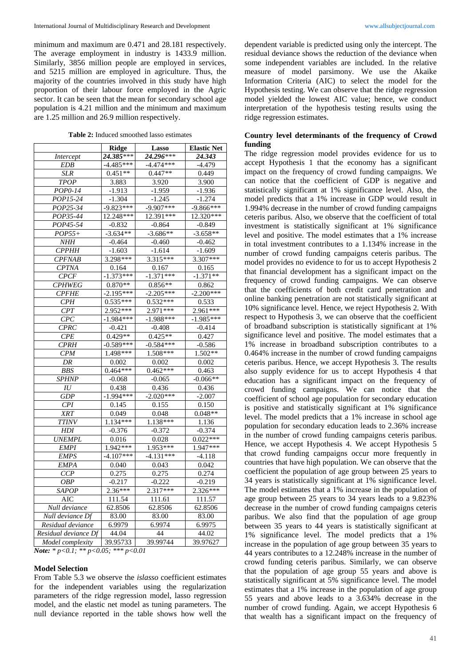minimum and maximum are 0.471 and 28.181 respectively. The average employment in industry is 1433.9 million. Similarly, 3856 million people are employed in services, and 5215 million are employed in agriculture. Thus, the majority of the countries involved in this study have high proportion of their labour force employed in the Agric sector. It can be seen that the mean for secondary school age population is 4.21 million and the minimum and maximum are 1.25 million and 26.9 million respectively.

**Table 2:** Induced smoothed lasso estimates

|                      | <b>Ridge</b> | Lasso       | <b>Elastic Net</b> |
|----------------------|--------------|-------------|--------------------|
| Intercept            | 24.385***    | 24.296***   | 24.343             |
| <b>EDB</b>           | $-4.485***$  | $-4.474***$ | $-4.479$           |
| <b>SLR</b>           | $0.451**$    | $0.447**$   | 0.449              |
| TPOP                 | 3.883        | 3.920       | 3.900              |
| POP0-14              | $-1.913$     | $-1.959$    | $-1.936$           |
| POP15-24             | $-1.304$     | $-1.245$    | $-1.274$           |
| POP25-34             | $-9.823***$  | $-9.907***$ | $-9.866***$        |
| POP35-44             | 12.248***    | 12.391 ***  | 12.320***          |
| POP45-54             | $-0.832$     | $-0.864$    | $-0.849$           |
| $POP55+$             | $-3.634**$   | $-3.686**$  | $-3.658**$         |
| NHH                  | $-0.464$     | $-0.460$    | $-0.462$           |
| <b>CPPHH</b>         | $-1.603$     | $-1.614$    | $-1.609$           |
| CPFNAB               | 3.298***     | $3.315***$  | $3.307***$         |
| <b>CPTNA</b>         | 0.164        | 0.167       | 0.165              |
| <b>CPCF</b>          | $-1.373***$  | $-1.371***$ | $-1.371**$         |
| <b>CPHWEG</b>        | $0.870**$    | $0.856**$   | 0.862              |
| <b>CPFHE</b>         | $-2.195***$  | $-2.205***$ | $-2.200***$        |
| $\overline{CPH}$     | $0.535***$   | $0.532***$  | 0.533              |
| CPT                  | $2.952***$   | $2.971***$  | $2.961***$         |
| CPC                  | $-1.984***$  | $-1.988***$ | $-1.985***$        |
| CPRC                 | $-0.421$     | $-0.408$    | $-0.414$           |
| CPE                  | $0.429**$    | $0.425**$   | 0.427              |
| <b>CPRH</b>          | $-0.589***$  | $-0.584***$ | $-0.586$           |
| CPM                  | 1.498 ***    | $1.508***$  | $1.502**$          |
| DR                   | 0.002        | 0.002       | 0.002              |
| BBS                  | $0.464***$   | $0.462***$  | 0.463              |
| <b>SPHNP</b>         | $-0.068$     | $-0.065$    | $-0.066**$         |
| $I\hspace{-0.1cm}U$  | 0.438        | 0.436       | 0.436              |
| <b>GDP</b>           | $-1.994***$  | $-2.020***$ | $-2.007$           |
| CPI                  | 0.145        | 0.155       | 0.150              |
| XRT                  | 0.049        | 0.048       | $0.048**$          |
| <b>TTINV</b>         | 1.134***     | $1.138***$  | 1.136              |
| <b>HDI</b>           | $-0.376$     | $-0.372$    | $-0.374$           |
| <b>UNEMPL</b>        | 0.016        | 0.028       | $0.022***$         |
| <b>EMPI</b>          | 1.942 ***    | 1.953***    | 1.947***           |
| EMPS                 | $-4.107***$  | $-4.131***$ | $-4.118$           |
| <b>EMPA</b>          | 0.040        | 0.043       | 0.042              |
| CCP                  | 0.275        | 0.275       | 0.274              |
| <b>OBP</b>           | $-0.217$     | $-0.222$    | $-0.219$           |
| <b>SAPOP</b>         | $2.36***$    | $2.317***$  | $2.326***$         |
| AIC                  | 111.54       | 111.61      | 111.57             |
| Null deviance        | 62.8506      | 62.8506     | 62.8506            |
| Null deviance Df     | 83.00        | 83.00       | 83.00              |
| Residual deviance    | 6.9979       | 6.9974      | 6.9975             |
| Residual deviance Df | 44.04        | 44          | 44.02              |
| Model complexity     | 39.95733     | 39.99744    | 39.97627           |

*Note: \* p<0.1; \*\* p<0.05; \*\*\* p<0.01*

#### **Model Selection**

From Table 5.3 we observe the *islasso* coefficient estimates for the independent variables using the regularization parameters of the ridge regression model, lasso regression model, and the elastic net model as tuning parameters. The null deviance reported in the table shows how well the dependent variable is predicted using only the intercept. The residual deviance shows the reduction of the deviance when some independent variables are included. In the relative measure of model parsimony. We use the Akaike Information Criteria (AIC) to select the model for the Hypothesis testing. We can observe that the ridge regression model yielded the lowest AIC value; hence, we conduct interpretation of the hypothesis testing results using the ridge regression estimates.

### **Country level determinants of the frequency of Crowd funding**

The ridge regression model provides evidence for us to accept Hypothesis 1 that the economy has a significant impact on the frequency of crowd funding campaigns. We can notice that the coefficient of GDP is negative and statistically significant at 1% significance level. Also, the model predicts that a 1% increase in GDP would result in 1.994% decrease in the number of crowd funding campaigns ceteris paribus. Also, we observe that the coefficient of total investment is statistically significant at 1% significance level and positive. The model estimates that a 1% increase in total investment contributes to a 1.134% increase in the number of crowd funding campaigns ceteris paribus. The model provides no evidence to for us to accept Hypothesis 2 that financial development has a significant impact on the frequency of crowd funding campaigns. We can observe that the coefficients of both credit card penetration and online banking penetration are not statistically significant at 10% significance level. Hence, we reject Hypothesis 2. With respect to Hypothesis 3, we can observe that the coefficient of broadband subscription is statistically significant at 1% significance level and positive. The model estimates that a 1% increase in broadband subscription contributes to a 0.464% increase in the number of crowd funding campaigns ceteris paribus. Hence, we accept Hypothesis 3. The results also supply evidence for us to accept Hypothesis 4 that education has a significant impact on the frequency of crowd funding campaigns. We can notice that the coefficient of school age population for secondary education is positive and statistically significant at 1% significance level. The model predicts that a 1% increase in school age population for secondary education leads to 2.36% increase in the number of crowd funding campaigns ceteris paribus. Hence, we accept Hypothesis 4. We accept Hypothesis 5 that crowd funding campaigns occur more frequently in countries that have high population. We can observe that the coefficient the population of age group between 25 years to 34 years is statistically significant at 1% significance level. The model estimates that a 1% increase in the population of age group between 25 years to 34 years leads to a 9.823% decrease in the number of crowd funding campaigns ceteris paribus. We also find that the population of age group between 35 years to 44 years is statistically significant at 1% significance level. The model predicts that a 1% increase in the population of age group between 35 years to 44 years contributes to a 12.248% increase in the number of crowd funding ceteris paribus. Similarly, we can observe that the population of age group 55 years and above is statistically significant at 5% significance level. The model estimates that a 1% increase in the population of age group 55 years and above leads to a 3.634% decrease in the number of crowd funding. Again, we accept Hypothesis 6 that wealth has a significant impact on the frequency of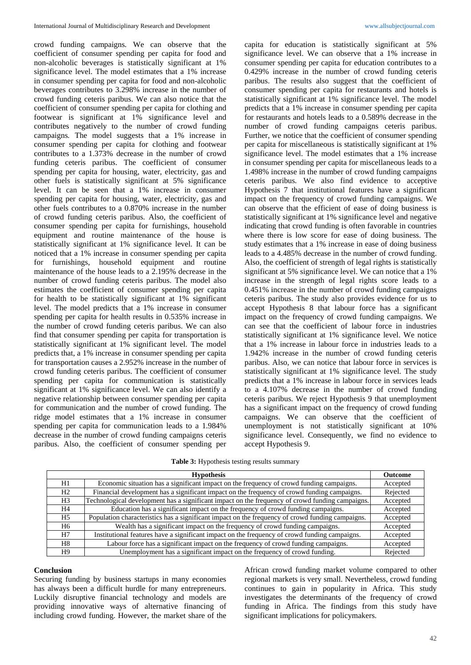crowd funding campaigns*.* We can observe that the coefficient of consumer spending per capita for food and non-alcoholic beverages is statistically significant at 1% significance level. The model estimates that a 1% increase in consumer spending per capita for food and non-alcoholic beverages contributes to 3.298% increase in the number of crowd funding ceteris paribus. We can also notice that the coefficient of consumer spending per capita for clothing and footwear is significant at 1% significance level and contributes negatively to the number of crowd funding campaigns*.* The model suggests that a 1% increase in consumer spending per capita for clothing and footwear contributes to a 1.373% decrease in the number of crowd funding ceteris paribus. The coefficient of consumer spending per capita for housing, water, electricity, gas and other fuels is statistically significant at 5% significance level. It can be seen that a 1% increase in consumer spending per capita for housing, water, electricity, gas and other fuels contributes to a 0.870% increase in the number of crowd funding ceteris paribus. Also, the coefficient of consumer spending per capita for furnishings, household equipment and routine maintenance of the house is statistically significant at 1% significance level. It can be noticed that a 1% increase in consumer spending per capita for furnishings, household equipment and routine maintenance of the house leads to a 2.195% decrease in the number of crowd funding ceteris paribus. The model also estimates the coefficient of consumer spending per capita for health to be statistically significant at 1% significant level. The model predicts that a 1% increase in consumer spending per capita for health results in 0.535% increase in the number of crowd funding ceteris paribus. We can also find that consumer spending per capita for transportation is statistically significant at 1% significant level. The model predicts that, a 1% increase in consumer spending per capita for transportation causes a 2.952% increase in the number of crowd funding ceteris paribus. The coefficient of consumer spending per capita for communication is statistically significant at 1% significance level. We can also identify a negative relationship between consumer spending per capita for communication and the number of crowd funding. The ridge model estimates that a 1% increase in consumer spending per capita for communication leads to a 1.984% decrease in the number of crowd funding campaigns ceteris paribus. Also, the coefficient of consumer spending per

capita for education is statistically significant at 5% significance level. We can observe that a 1% increase in consumer spending per capita for education contributes to a 0.429% increase in the number of crowd funding ceteris paribus. The results also suggest that the coefficient of consumer spending per capita for restaurants and hotels is statistically significant at 1% significance level. The model predicts that a 1% increase in consumer spending per capita for restaurants and hotels leads to a 0.589% decrease in the number of crowd funding campaigns ceteris paribus. Further, we notice that the coefficient of consumer spending per capita for miscellaneous is statistically significant at 1% significance level. The model estimates that a 1% increase in consumer spending per capita for miscellaneous leads to a 1.498% increase in the number of crowd funding campaigns ceteris paribus*.* We also find evidence to acceptive Hypothesis 7 that institutional features have a significant impact on the frequency of crowd funding campaigns. We can observe that the efficient of ease of doing business is statistically significant at 1% significance level and negative indicating that crowd funding is often favorable in countries where there is low score for ease of doing business. The study estimates that a 1% increase in ease of doing business leads to a 4.485% decrease in the number of crowd funding. Also, the coefficient of strength of legal rights is statistically significant at 5% significance level. We can notice that a 1% increase in the strength of legal rights score leads to a 0.451% increase in the number of crowd funding campaigns ceteris paribus. The study also provides evidence for us to accept Hypothesis 8 that labour force has a significant impact on the frequency of crowd funding campaigns. We can see that the coefficient of labour force in industries statistically significant at 1% significance level. We notice that a 1% increase in labour force in industries leads to a 1.942% increase in the number of crowd funding ceteris paribus. Also, we can notice that labour force in services is statistically significant at 1% significance level. The study predicts that a 1% increase in labour force in services leads to a 4.107% decrease in the number of crowd funding ceteris paribus. We reject Hypothesis 9 that unemployment has a significant impact on the frequency of crowd funding campaigns. We can observe that the coefficient of unemployment is not statistically significant at 10% significance level. Consequently, we find no evidence to accept Hypothesis 9.

**Table 3:** Hypothesis testing results summary

|                | <b>Hypothesis</b>                                                                                | <b>Outcome</b> |
|----------------|--------------------------------------------------------------------------------------------------|----------------|
| H1             | Economic situation has a significant impact on the frequency of crowd funding campaigns.         | Accepted       |
| H2             | Financial development has a significant impact on the frequency of crowd funding campaigns.      | Rejected       |
| H <sub>3</sub> | Technological development has a significant impact on the frequency of crowd funding campaigns.  | Accepted       |
| H4             | Education has a significant impact on the frequency of crowd funding campaigns.                  | Accepted       |
| H5             | Population characteristics has a significant impact on the frequency of crowd funding campaigns. | Accepted       |
| H6             | Wealth has a significant impact on the frequency of crowd funding campaigns.                     | Accepted       |
| H7             | Institutional features have a significant impact on the frequency of crowd funding campaigns.    | Accepted       |
| H8             | Labour force has a significant impact on the frequency of crowd funding campaigns.               | Accepted       |
| H9             | Unemployment has a significant impact on the frequency of crowd funding.                         | Rejected       |

#### **Conclusion**

Securing funding by business startups in many economies has always been a difficult hurdle for many entrepreneurs. Luckily disruptive financial technology and models are providing innovative ways of alternative financing of including crowd funding. However, the market share of the

African crowd funding market volume compared to other regional markets is very small. Nevertheless, crowd funding continues to gain in popularity in Africa. This study investigates the determinants of the frequency of crowd funding in Africa. The findings from this study have significant implications for policymakers.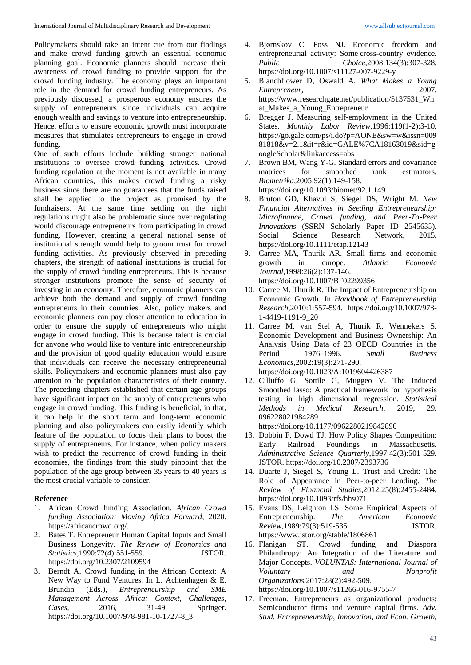Policymakers should take an intent cue from our findings and make crowd funding growth an essential economic planning goal. Economic planners should increase their awareness of crowd funding to provide support for the crowd funding industry. The economy plays an important role in the demand for crowd funding entrepreneurs. As previously discussed, a prosperous economy ensures the supply of entrepreneurs since individuals can acquire enough wealth and savings to venture into entrepreneurship. Hence, efforts to ensure economic growth must incorporate measures that stimulates entrepreneurs to engage in crowd funding.

One of such efforts include building stronger national institutions to oversee crowd funding activities. Crowd funding regulation at the moment is not available in many African countries, this makes crowd funding a risky business since there are no guarantees that the funds raised shall be applied to the project as promised by the fundraisers. At the same time settling on the right regulations might also be problematic since over regulating would discourage entrepreneurs from participating in crowd funding. However, creating a general national sense of institutional strength would help to groom trust for crowd funding activities. As previously observed in preceding chapters, the strength of national institutions is crucial for the supply of crowd funding entrepreneurs. This is because stronger institutions promote the sense of security of investing in an economy. Therefore, economic planners can achieve both the demand and supply of crowd funding entrepreneurs in their countries. Also, policy makers and economic planners can pay closer attention to education in order to ensure the supply of entrepreneurs who might engage in crowd funding. This is because talent is crucial for anyone who would like to venture into entrepreneurship and the provision of good quality education would ensure that individuals can receive the necessary entrepreneurial skills. Policymakers and economic planners must also pay attention to the population characteristics of their country. The preceding chapters established that certain age groups have significant impact on the supply of entrepreneurs who engage in crowd funding. This finding is beneficial, in that, it can help in the short term and long-term economic planning and also policymakers can easily identify which feature of the population to focus their plans to boost the supply of entrepreneurs. For instance, when policy makers wish to predict the recurrence of crowd funding in their economies, the findings from this study pinpoint that the population of the age group between 35 years to 40 years is the most crucial variable to consider.

### **Reference**

- 1. African Crowd funding Association. *African Crowd funding Association: Moving Africa Forward,* 2020. https://africancrowd.org/.
- 2. Bates T. Entrepreneur Human Capital Inputs and Small Business Longevity. *The Review of Economics and Statistics*,1990:72(4):551-559. JSTOR. https://doi.org/10.2307/2109594
- Berndt A. Crowd funding in the African Context: A New Way to Fund Ventures. In L. Achtenhagen & E. Brundin (Eds.), *Entrepreneurship and SME Management Across Africa: Context, Challenges, Cases,* 2016, 31-49. Springer. https://doi.org/10.1007/978-981-10-1727-8\_3
- 4. Bjørnskov C, Foss NJ. Economic freedom and entrepreneurial activity: Some cross-country evidence. *Public Choice*,2008:134(3):307-328. https://doi.org/10.1007/s11127-007-9229-y
- 5. Blanchflower D, Oswald A. *What Makes a Young Entrepreneur,* 2007. https://www.researchgate.net/publication/5137531\_Wh at\_Makes\_a\_Young\_Entrepreneur
- 6. Bregger J. Measuring self-employment in the United States. *Monthly Labor Review*,1996:119(1-2):3-10. https://go.gale.com/ps/i.do?p=AONE&sw=w&issn=009 81818&v=2.1&it=r&id=GALE%7CA18163019&sid=g oogleScholar&linkaccess=abs
- 7. Brown BM, Wang Y-G. Standard errors and covariance matrices for smoothed rank estimators. *Biometrika*,2005:92(1):149-158. https://doi.org/10.1093/biomet/92.1.149
- 8. Bruton GD, Khavul S, Siegel DS, Wright M. *New Financial Alternatives in Seeding Entrepreneurship: Microfinance, Crowd funding, and Peer*‐*To*‐*Peer Innovations* (SSRN Scholarly Paper ID 2545635). Social Science Research Network, 2015. https://doi.org/10.1111/etap.12143
- 9. Carree MA, Thurik AR. Small firms and economic growth in europe. *Atlantic Economic Journal*,1998:26(2):137-146. https://doi.org/10.1007/BF02299356
- 10. Carree M, Thurik R. The Impact of Entrepreneurship on Economic Growth. In *Handbook of Entrepreneurship Research,*2010:1:557-594. https://doi.org/10.1007/978- 1-4419-1191-9\_20
- 11. Carree M, van Stel A, Thurik R, Wennekers S. Economic Development and Business Ownership: An Analysis Using Data of 23 OECD Countries in the Period 1976–1996. *Small Business Economics*,2002:19(3):271-290. https://doi.org/10.1023/A:1019604426387
- 12. Cilluffo G, Sottile G, Muggeo V. The Induced Smoothed lasso: A practical framework for hypothesis testing in high dimensional regression. *Statistical Methods in Medical Research*, 2019, 29. 096228021984289.

https://doi.org/10.1177/0962280219842890

- 13. Dobbin F, Dowd TJ. How Policy Shapes Competition: Early Railroad Foundings in Massachusetts. *Administrative Science Quarterly*,1997:42(3):501-529. JSTOR. https://doi.org/10.2307/2393736
- 14. Duarte J, Siegel S, Young L. Trust and Credit: The Role of Appearance in Peer-to-peer Lending. *The Review of Financial Studies*,2012:25(8):2455-2484. https://doi.org/10.1093/rfs/hhs071
- 15. Evans DS, Leighton LS. Some Empirical Aspects of Entrepreneurship. *The American Economic Review*,1989:79(3):519-535. JSTOR. https://www.jstor.org/stable/1806861
- 16. Flanigan ST. Crowd funding and Diaspora Philanthropy: An Integration of the Literature and Major Concepts. *VOLUNTAS: International Journal of Voluntary and Nonprofit Organizations*,2017:28(2):492-509. https://doi.org/10.1007/s11266-016-9755-7
- 17. Freeman. Entrepreneurs as organizational products: Semiconductor firms and venture capital firms. *Adv. Stud. Entrepreneurship, Innovation, and Econ. Growth,*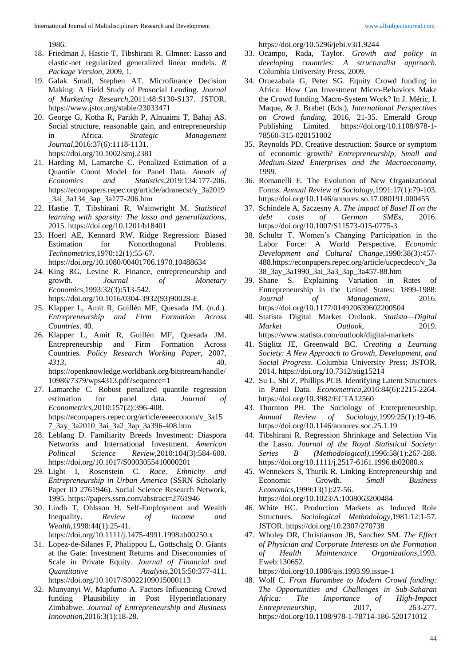1986.

- 18. Friedman J, Hastie T, Tibshirani R. Glmnet: Lasso and elastic-net regularized generalized linear models. *R Package Version*, 2009, 1.
- 19. Galak Small, Stephen AT. Microfinance Decision Making: A Field Study of Prosocial Lending. *Journal of Marketing Research*,2011:48:S130-S137. JSTOR. https://www.jstor.org/stable/23033471
- 20. George G, Kotha R, Parikh P, Alnuaimi T, Bahaj AS. Social structure, reasonable gain, and entrepreneurship in Africa. *Strategic Management Journal*,2016:37(6):1118-1131. https://doi.org/10.1002/smj.2381
- 21. Harding M, Lamarche C. Penalized Estimation of a Quantile Count Model for Panel Data. *Annals of Economics and Statistics*,2019:134:177-206. https://econpapers.repec.org/article/adranecst/y\_3a2019 \_3ai\_3a134\_3ap\_3a177-206.htm
- 22. Hastie T, Tibshirani R, Wainwright M. *Statistical learning with sparsity: The lasso and generalizations,* 2015. https://doi.org/10.1201/b18401
- 23. Hoerl AE, Kennard RW. Ridge Regression: Biased Estimation for Nonorthogonal Problems. *Technometrics*,1970:12(1):55-67. https://doi.org/10.1080/00401706.1970.10488634
- 24. King RG, Levine R. Finance, entrepreneurship and growth. *Journal of Monetary Economics*,1993:32(3):513-542. https://doi.org/10.1016/0304-3932(93)90028-E
- 25. Klapper L, Amit R, Guillén MF, Quesada JM. (n.d.). *Entrepreneurship and Firm Formation Across Countries*. 40.
- 26. Klapper L, Amit R, Guillén MF, Quesada JM. Entrepreneurship and Firm Formation Across Countries. *Policy Research Working Paper*, 2007, *4313*, 40. https://openknowledge.worldbank.org/bitstream/handle/ 10986/7379/wps4313.pdf?sequence=1
- 27. Lamarche C. Robust penalized quantile regression estimation for panel data. *Journal of Econometrics*,2010:157(2):396-408. https://econpapers.repec.org/article/eeeeconom/v\_3a15 7\_3ay\_3a2010\_3ai\_3a2\_3ap\_3a396-408.htm
- 28. Leblang D. Familiarity Breeds Investment: Diaspora Networks and International Investment. *American Political Science Review*,2010:104(3):584-600. https://doi.org/10.1017/S0003055410000201
- 29. Light I, Rosenstein C. *Race, Ethnicity and Entrepreneurship in Urban America* (SSRN Scholarly Paper ID 2761946). Social Science Research Network, 1995. https://papers.ssrn.com/abstract=2761946
- 30. Lindh T, Ohlsson H. Self-Employment and Wealth Inequality. *Review of Income and Wealth*,1998:44(1):25-41.
	- https://doi.org/10.1111/j.1475-4991.1998.tb00250.x
- 31. Lopez-de-Silanes F, Phalippou L, Gottschalg O. Giants at the Gate: Investment Returns and Diseconomies of Scale in Private Equity. *Journal of Financial and Quantitative Analysis*,2015:50:377-411. https://doi.org/10.1017/S0022109015000113
- 32. Munyanyi W, Mapfumo A. Factors Influencing Crowd funding Plausibility in Post Hyperinflationary Zimbabwe. *Journal of Entrepreneurship and Business Innovation*,2016:3(1):18-28.

https://doi.org/10.5296/jebi.v3i1.9244

- 33. Ocampo, Rada, Taylor. *Growth and policy in developing countries: A structuralist approach*. Columbia University Press, 2009.
- 34. Oruezabala G, Peter SG. Equity Crowd funding in Africa: How Can Investment Micro-Behaviors Make the Crowd funding Macro-System Work? In J. Méric, I. Maque, & J. Brabet (Eds.), *International Perspectives on Crowd funding,* 2016, 21-35. Emerald Group Publishing Limited. https://doi.org/10.1108/978-1- 78560-315-020151002
- 35. Reynolds PD. Creative destruction: Source or symptom of economic growth? *Entrepreneurship, Small and Medium-Sized Enterprises and the Macroeconomy,*  1999.
- 36. Romanelli E. The Evolution of New Organizational Forms. *Annual Review of Sociology*,1991:17(1):79-103. https://doi.org/10.1146/annurev.so.17.080191.000455
- 37. Schindele A, Szczesny A. *The impact of Basel II on the debt costs of German SMEs,* 2016. https://doi.org/10.1007/S11573-015-0775-3
- 38. Schultz T. Women's Changing Participation in the Labor Force: A World Perspective. *Economic Development and Cultural Change*,1990:38(3):457- 488.https://econpapers.repec.org/article/ucpecdecc/v\_3a 38\_3ay\_3a1990\_3ai\_3a3\_3ap\_3a457-88.htm
- 39. Shane S. Explaining Variation in Rates of Entrepreneurship in the United States: 1899-1988: *Journal* of *Management*, 2016. https://doi.org/10.1177/014920639602200504
- 40. Statista Digital Market Outlook. *Statista—Digital Market Outlook.* 2019. https://www.statista.com/outlook/digital-markets
- 41. Stiglitz JE, Greenwald BC. *Creating a Learning Society: A New Approach to Growth, Development, and Social Progress*. Columbia University Press; JSTOR, 2014. https://doi.org/10.7312/stig15214
- 42. Su L, Shi Z, Phillips PCB. Identifying Latent Structures in Panel Data. *Econometrica*,2016:84(6):2215-2264. https://doi.org/10.3982/ECTA12560
- 43. Thornton PH. The Sociology of Entrepreneurship. *Annual Review of Sociology*,1999:25(1):19-46. https://doi.org/10.1146/annurev.soc.25.1.19
- 44. Tibshirani R. Regression Shrinkage and Selection Via the Lasso. *Journal of the Royal Statistical Society: Series B (Methodological)*,1996:58(1):267-288. https://doi.org/10.1111/j.2517-6161.1996.tb02080.x
- 45. Wennekers S, Thurik R. Linking Entrepreneurship and Economic Growth. *Small Business Economics*,1999:13(1):27-56. https://doi.org/10.1023/A:1008063200484
- 46. White HC. Production Markets as Induced Role Structures. *Sociological Methodology*,1981:12:1-57. JSTOR. https://doi.org/10.2307/270738
- 47. Wholey DR, Christianson JB, Sanchez SM. *The Effect of Physician and Corporate Interests on the Formation of Health Maintenance Organizations,*1993. Eweb:130652.

https://doi.org/10.1086/ajs.1993.99.issue-1

48. Wolf C. *From Harambee to Modern Crowd funding: The Opportunities and Challenges in Sub-Saharan Africa: The Importance of High-Impact Entrepreneurship,* 2017, 263-277. https://doi.org/10.1108/978-1-78714-186-520171012